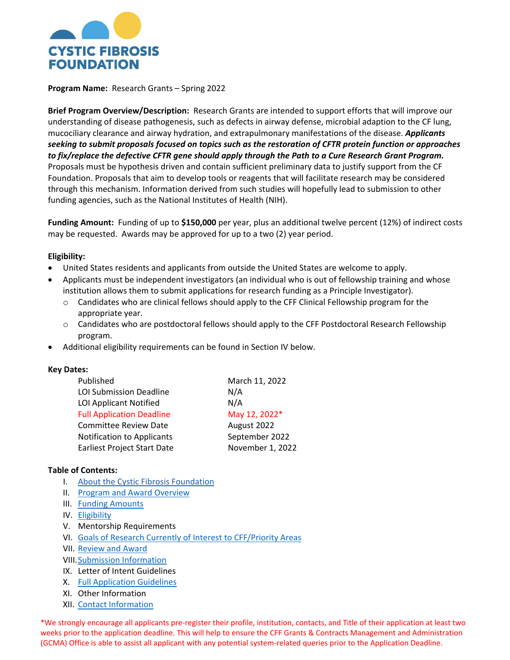

**Program Name:** Research Grants – Spring 2022

**Brief Program Overview/Description:** Research Grants are intended to support efforts that will improve our understanding of disease pathogenesis, such as defects in airway defense, microbial adaption to the CF lung, mucociliary clearance and airway hydration, and extrapulmonary manifestations of the disease. *Applicants seeking to submit proposals focused on topics such as the restoration of CFTR protein function or approaches to fix/replace the defective CFTR gene should apply through the Path to a Cure Research Grant Program.* Proposals must be hypothesis driven and contain sufficient preliminary data to justify support from the CF Foundation. Proposals that aim to develop tools or reagents that will facilitate research may be considered through this mechanism. Information derived from such studies will hopefully lead to submission to other funding agencies, such as the National Institutes of Health (NIH).

**Funding Amount:** Funding of up to **\$150,000** per year, plus an additional twelve percent (12%) of indirect costs may be requested. Awards may be approved for up to a two (2) year period.

### **Eligibility:**

- United States residents and applicants from outside the United States are welcome to apply.
- Applicants must be independent investigators (an individual who is out of fellowship training and whose institution allows them to submit applications for research funding as a Principle Investigator).
	- o Candidates who are clinical fellows should apply to the CFF Clinical Fellowship program for the appropriate year.
	- o Candidates who are postdoctoral fellows should apply to the CFF Postdoctoral Research Fellowship program.
- Additional eligibility requirements can be found in Section IV below.

#### **Key Dates:**

| Published                         | March 11, 2022   |
|-----------------------------------|------------------|
| <b>LOI Submission Deadline</b>    | N/A              |
| LOI Applicant Notified            | N/A              |
| <b>Full Application Deadline</b>  | May 12, 2022*    |
| <b>Committee Review Date</b>      | August 2022      |
| <b>Notification to Applicants</b> | September 2022   |
| Earliest Project Start Date       | November 1, 2022 |

### **Table of Contents:**

- I. [About the Cystic Fibrosis Foundation](#page-1-0)
- II. Program and Award Overview
- III. [Funding Amounts](#page-1-1)
- IV. [Eligibility](#page-1-2)
- V. Mentorship Requirements
- VI. [Goals of Research Currently of Interest to CFF/Priority Areas](#page-2-0)
- VII. [Review and Award](#page-2-1)
- VIII[.Submission Information](#page-3-0)
- IX. Letter of Intent Guidelines
- X. [Full Application Guidelines](#page-3-1)
- XI. Other Information
- XII. [Contact Information](#page-11-0)

\*We strongly encourage all applicants pre-register their profile, institution, contacts, and Title of their application at least two weeks prior to the application deadline. This will help to ensure the CFF Grants & Contracts Management and Administration (GCMA) Office is able to assist all applicant with any potential system-related queries prior to the Application Deadline.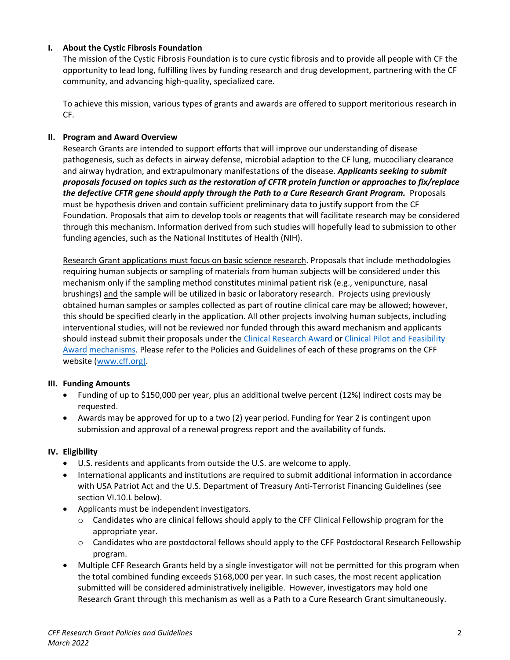## <span id="page-1-0"></span>**I. About the Cystic Fibrosis Foundation**

The mission of the Cystic Fibrosis Foundation is to cure cystic fibrosis and to provide all people with CF the opportunity to lead long, fulfilling lives by funding research and drug development, partnering with the CF community, and advancing high-quality, specialized care.

To achieve this mission, various types of grants and awards are offered to support meritorious research in CF.

## **II. Program and Award Overview**

Research Grants are intended to support efforts that will improve our understanding of disease pathogenesis, such as defects in airway defense, microbial adaption to the CF lung, mucociliary clearance and airway hydration, and extrapulmonary manifestations of the disease. *Applicants seeking to submit proposals focused on topics such as the restoration of CFTR protein function or approaches to fix/replace the defective CFTR gene should apply through the Path to a Cure Research Grant Program.* Proposals must be hypothesis driven and contain sufficient preliminary data to justify support from the CF Foundation. Proposals that aim to develop tools or reagents that will facilitate research may be considered through this mechanism. Information derived from such studies will hopefully lead to submission to other funding agencies, such as the National Institutes of Health (NIH).

Research Grant applications must focus on basic science research. Proposals that include methodologies requiring human subjects or sampling of materials from human subjects will be considered under this mechanism only if the sampling method constitutes minimal patient risk (e.g., venipuncture, nasal brushings) and the sample will be utilized in basic or laboratory research. Projects using previously obtained human samples or samples collected as part of routine clinical care may be allowed; however, this should be specified clearly in the application. All other projects involving human subjects, including interventional studies, will not be reviewed nor funded through this award mechanism and applicants should instead submit their proposals under the [Clinical Research Award](https://www.cff.org/clinical-research-award) or Clinical Pilot and Feasibility [Award](https://www.cff.org/researchers/clinical-pilot-and-feasibility-award) mechanisms. Please refer to the Policies and Guidelines of each of these programs on the CFF website [\(www.cff.org\)](file://voyager/Netshare/GRANTS%20&%20CONTRACTS%20Medical%20Dept/.Application%20Guidelines%202017/RFA%20Setup/RRT%20Research%20Grants%20and%20P&F-%20Fall/www.cff.org).

### <span id="page-1-1"></span>**III. Funding Amounts**

- Funding of up to \$150,000 per year, plus an additional twelve percent (12%) indirect costs may be requested.
- Awards may be approved for up to a two (2) year period. Funding for Year 2 is contingent upon submission and approval of a renewal progress report and the availability of funds.

### <span id="page-1-2"></span>**IV. Eligibility**

- U.S. residents and applicants from outside the U.S. are welcome to apply.
- International applicants and institutions are required to submit additional information in accordance with USA Patriot Act and the U.S. Department of Treasury Anti-Terrorist Financing Guidelines (see section VI.10.L below).
- Applicants must be independent investigators.
	- o Candidates who are clinical fellows should apply to the CFF Clinical Fellowship program for the appropriate year.
	- o Candidates who are postdoctoral fellows should apply to the CFF Postdoctoral Research Fellowship program.
- Multiple CFF Research Grants held by a single investigator will not be permitted for this program when the total combined funding exceeds \$168,000 per year. In such cases, the most recent application submitted will be considered administratively ineligible. However, investigators may hold one Research Grant through this mechanism as well as a Path to a Cure Research Grant simultaneously.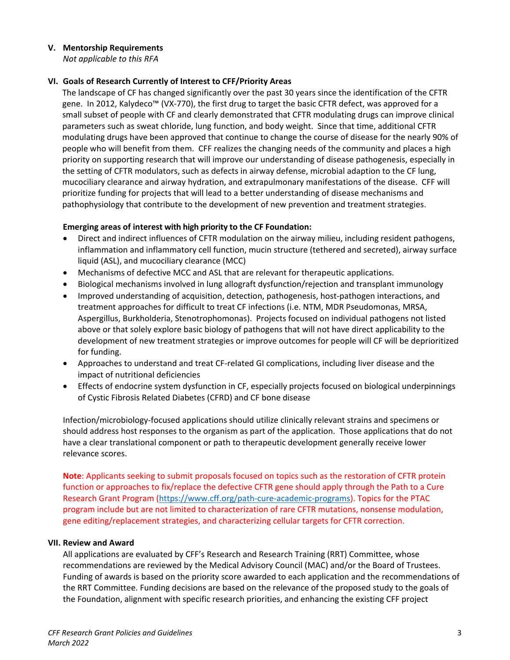### **V. Mentorship Requirements**

*Not applicable to this RFA*

### **VI. Goals of Research Currently of Interest to CFF/Priority Areas**

<span id="page-2-0"></span>The landscape of CF has changed significantly over the past 30 years since the identification of the CFTR gene. In 2012, Kalydeco™ (VX-770), the first drug to target the basic CFTR defect, was approved for a small subset of people with CF and clearly demonstrated that CFTR modulating drugs can improve clinical parameters such as sweat chloride, lung function, and body weight. Since that time, additional CFTR modulating drugs have been approved that continue to change the course of disease for the nearly 90% of people who will benefit from them. CFF realizes the changing needs of the community and places a high priority on supporting research that will improve our understanding of disease pathogenesis, especially in the setting of CFTR modulators, such as defects in airway defense, microbial adaption to the CF lung, mucociliary clearance and airway hydration, and extrapulmonary manifestations of the disease. CFF will prioritize funding for projects that will lead to a better understanding of disease mechanisms and pathophysiology that contribute to the development of new prevention and treatment strategies.

## **Emerging areas of interest with high priority to the CF Foundation:**

- Direct and indirect influences of CFTR modulation on the airway milieu, including resident pathogens, inflammation and inflammatory cell function, mucin structure (tethered and secreted), airway surface liquid (ASL), and mucociliary clearance (MCC)
- Mechanisms of defective MCC and ASL that are relevant for therapeutic applications.
- Biological mechanisms involved in lung allograft dysfunction/rejection and transplant immunology
- Improved understanding of acquisition, detection, pathogenesis, host-pathogen interactions, and treatment approaches for difficult to treat CF infections (i.e. NTM, MDR Pseudomonas, MRSA, Aspergillus, Burkholderia, Stenotrophomonas). Projects focused on individual pathogens not listed above or that solely explore basic biology of pathogens that will not have direct applicability to the development of new treatment strategies or improve outcomes for people will CF will be deprioritized for funding.
- Approaches to understand and treat CF-related GI complications, including liver disease and the impact of nutritional deficiencies
- Effects of endocrine system dysfunction in CF, especially projects focused on biological underpinnings of Cystic Fibrosis Related Diabetes (CFRD) and CF bone disease

Infection/microbiology-focused applications should utilize clinically relevant strains and specimens or should address host responses to the organism as part of the application. Those applications that do not have a clear translational component or path to therapeutic development generally receive lower relevance scores.

**Note**: Applicants seeking to submit proposals focused on topics such as the restoration of CFTR protein function or approaches to fix/replace the defective CFTR gene should apply through the Path to a Cure Research Grant Program [\(https://www.cff.org/path-cure-academic-programs\)](https://www.cff.org/path-cure-academic-programs). Topics for the PTAC program include but are not limited to characterization of rare CFTR mutations, nonsense modulation, gene editing/replacement strategies, and characterizing cellular targets for CFTR correction.

### <span id="page-2-1"></span>**VII. Review and Award**

All applications are evaluated by CFF's Research and Research Training (RRT) Committee, whose recommendations are reviewed by the Medical Advisory Council (MAC) and/or the Board of Trustees. Funding of awards is based on the priority score awarded to each application and the recommendations of the RRT Committee. Funding decisions are based on the relevance of the proposed study to the goals of the Foundation, alignment with specific research priorities, and enhancing the existing CFF project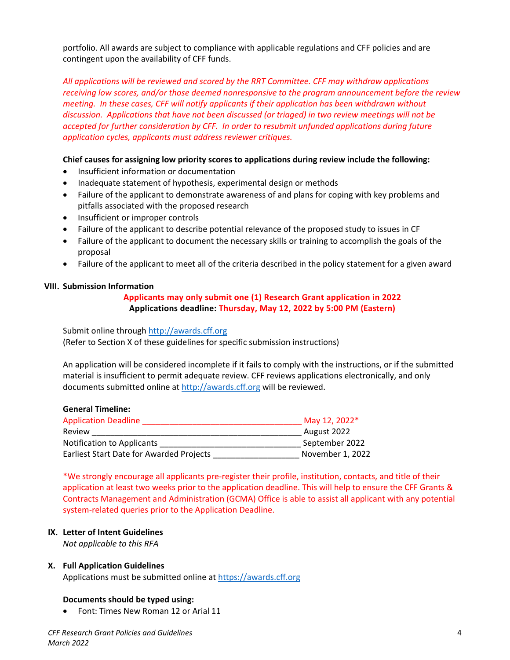portfolio. All awards are subject to compliance with applicable regulations and CFF policies and are contingent upon the availability of CFF funds.

*All applications will be reviewed and scored by the RRT Committee. CFF may withdraw applications receiving low scores, and/or those deemed nonresponsive to the program announcement before the review meeting. In these cases, CFF will notify applicants if their application has been withdrawn without discussion. Applications that have not been discussed (or triaged) in two review meetings will not be accepted for further consideration by CFF. In order to resubmit unfunded applications during future application cycles, applicants must address reviewer critiques.*

### **Chief causes for assigning low priority scores to applications during review include the following:**

- Insufficient information or documentation
- Inadequate statement of hypothesis, experimental design or methods
- Failure of the applicant to demonstrate awareness of and plans for coping with key problems and pitfalls associated with the proposed research
- Insufficient or improper controls
- Failure of the applicant to describe potential relevance of the proposed study to issues in CF
- Failure of the applicant to document the necessary skills or training to accomplish the goals of the proposal
- Failure of the applicant to meet all of the criteria described in the policy statement for a given award

#### <span id="page-3-0"></span>**VIII. Submission Information**

### **Applicants may only submit one (1) Research Grant application in 2022 Applications deadline: Thursday, May 12, 2022 by 5:00 PM (Eastern)**

Submit online through [http://awards.cff.org](http://awards.cff.org/) (Refer to Section X of these guidelines for specific submission instructions)

An application will be considered incomplete if it fails to comply with the instructions, or if the submitted material is insufficient to permit adequate review. CFF reviews applications electronically, and only documents submitted online at [http://awards.cff.org](http://awards.cff.org/) will be reviewed.

#### **General Timeline:**

| <b>Application Deadline</b>                     | May 12, 2022*    |
|-------------------------------------------------|------------------|
| Review                                          | August 2022      |
| <b>Notification to Applicants</b>               | September 2022   |
| <b>Earliest Start Date for Awarded Projects</b> | November 1, 2022 |

\*We strongly encourage all applicants pre-register their profile, institution, contacts, and title of their application at least two weeks prior to the application deadline. This will help to ensure the CFF Grants & Contracts Management and Administration (GCMA) Office is able to assist all applicant with any potential system-related queries prior to the Application Deadline.

### **IX. Letter of Intent Guidelines**

*Not applicable to this RFA*

### <span id="page-3-1"></span>**X. Full Application Guidelines**

Applications must be submitted online at [https://awards.cff.org](https://awards.cff.org/)

### **Documents should be typed using:**

• Font: Times New Roman 12 or Arial 11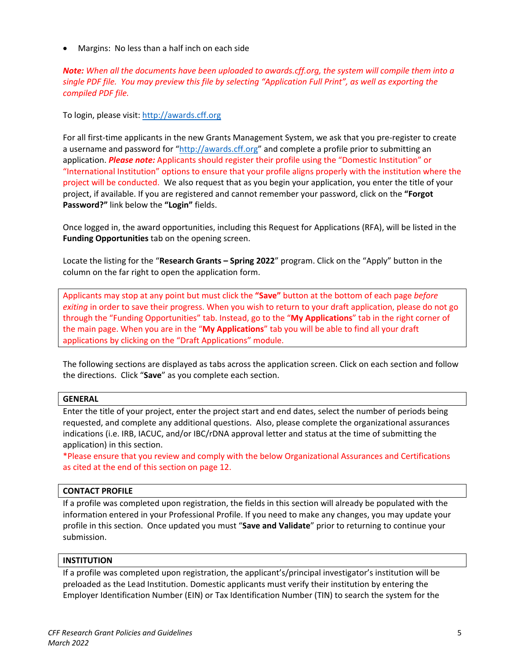• Margins: No less than a half inch on each side

*Note: When all the documents have been uploaded to awards.cff.org, the system will compile them into a single PDF file. You may preview this file by selecting "Application Full Print", as well as exporting the compiled PDF file.*

To login, please visit: [http://awards.cff.org](http://awards.cff.org/)

For all first-time applicants in the new Grants Management System, we ask that you pre-register to create a username and password for ["http://awards.cff.org"](http://awards.cff.org/) and complete a profile prior to submitting an application. *Please note:* Applicants should register their profile using the "Domestic Institution" or "International Institution" options to ensure that your profile aligns properly with the institution where the project will be conducted. We also request that as you begin your application, you enter the title of your project, if available. If you are registered and cannot remember your password, click on the **"Forgot Password?"** link below the **"Login"** fields.

Once logged in, the award opportunities, including this Request for Applications (RFA), will be listed in the **Funding Opportunities** tab on the opening screen.

Locate the listing for the "**Research Grants – Spring 2022**" program. Click on the "Apply" button in the column on the far right to open the application form.

Applicants may stop at any point but must click the **"Save"** button at the bottom of each page *before exiting* in order to save their progress. When you wish to return to your draft application, please do not go through the "Funding Opportunities" tab. Instead, go to the "**My Applications**" tab in the right corner of the main page. When you are in the "**My Applications**" tab you will be able to find all your draft applications by clicking on the "Draft Applications" module.

The following sections are displayed as tabs across the application screen. Click on each section and follow the directions. Click "**Save**" as you complete each section.

## **GENERAL**

Enter the title of your project, enter the project start and end dates, select the number of periods being requested, and complete any additional questions. Also, please complete the organizational assurances indications (i.e. IRB, IACUC, and/or IBC/rDNA approval letter and status at the time of submitting the application) in this section.

\*Please ensure that you review and comply with the below Organizational Assurances and Certifications as cited at the end of this section on page 12.

### **CONTACT PROFILE**

If a profile was completed upon registration, the fields in this section will already be populated with the information entered in your Professional Profile. If you need to make any changes, you may update your profile in this section. Once updated you must "**Save and Validate**" prior to returning to continue your submission.

### **INSTITUTION**

If a profile was completed upon registration, the applicant's/principal investigator's institution will be preloaded as the Lead Institution. Domestic applicants must verify their institution by entering the Employer Identification Number (EIN) or Tax Identification Number (TIN) to search the system for the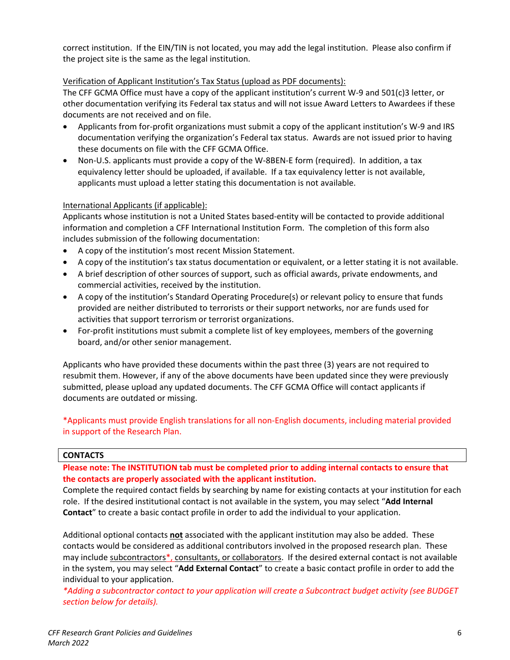correct institution. If the EIN/TIN is not located, you may add the legal institution. Please also confirm if the project site is the same as the legal institution.

## Verification of Applicant Institution's Tax Status (upload as PDF documents):

The CFF GCMA Office must have a copy of the applicant institution's current W-9 and 501(c)3 letter, or other documentation verifying its Federal tax status and will not issue Award Letters to Awardees if these documents are not received and on file.

- Applicants from for-profit organizations must submit a copy of the applicant institution's W-9 and IRS documentation verifying the organization's Federal tax status. Awards are not issued prior to having these documents on file with the CFF GCMA Office.
- Non-U.S. applicants must provide a copy of the W-8BEN-E form (required). In addition, a tax equivalency letter should be uploaded, if available. If a tax equivalency letter is not available, applicants must upload a letter stating this documentation is not available.

## International Applicants (if applicable):

Applicants whose institution is not a United States based-entity will be contacted to provide additional information and completion a CFF International Institution Form. The completion of this form also includes submission of the following documentation:

- A copy of the institution's most recent Mission Statement.
- A copy of the institution's tax status documentation or equivalent, or a letter stating it is not available.
- A brief description of other sources of support, such as official awards, private endowments, and commercial activities, received by the institution.
- A copy of the institution's Standard Operating Procedure(s) or relevant policy to ensure that funds provided are neither distributed to terrorists or their support networks, nor are funds used for activities that support terrorism or terrorist organizations.
- For-profit institutions must submit a complete list of key employees, members of the governing board, and/or other senior management.

Applicants who have provided these documents within the past three (3) years are not required to resubmit them. However, if any of the above documents have been updated since they were previously submitted, please upload any updated documents. The CFF GCMA Office will contact applicants if documents are outdated or missing.

\*Applicants must provide English translations for all non-English documents, including material provided in support of the Research Plan.

### **CONTACTS**

## **Please note: The INSTITUTION tab must be completed prior to adding internal contacts to ensure that the contacts are properly associated with the applicant institution.**

Complete the required contact fields by searching by name for existing contacts at your institution for each role. If the desired institutional contact is not available in the system, you may select "**Add Internal Contact**" to create a basic contact profile in order to add the individual to your application.

Additional optional contacts **not** associated with the applicant institution may also be added. These contacts would be considered as additional contributors involved in the proposed research plan. These may include subcontractors\*, consultants, or collaborators. If the desired external contact is not available in the system, you may select "**Add External Contact**" to create a basic contact profile in order to add the individual to your application.

*\*Adding a subcontractor contact to your application will create a Subcontract budget activity (see BUDGET section below for details).*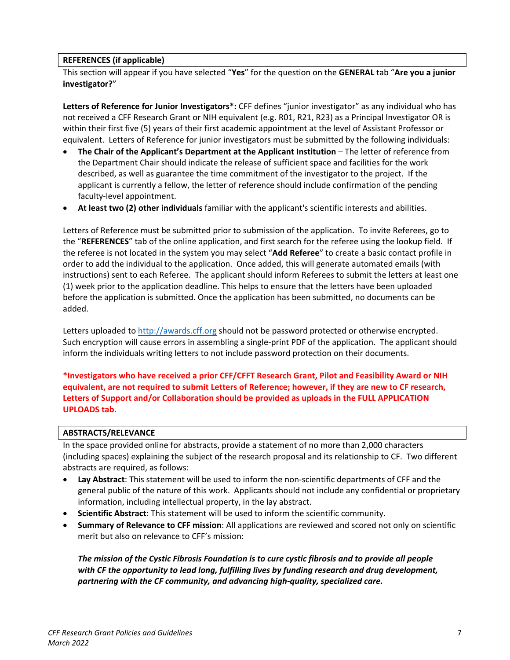### **REFERENCES (if applicable)**

This section will appear if you have selected "**Yes**" for the question on the **GENERAL** tab "**Are you a junior investigator?**"

**Letters of Reference for Junior Investigators\*:** CFF defines "junior investigator" as any individual who has not received a CFF Research Grant or NIH equivalent (e.g. R01, R21, R23) as a Principal Investigator OR is within their first five (5) years of their first academic appointment at the level of Assistant Professor or equivalent. Letters of Reference for junior investigators must be submitted by the following individuals:

- **The Chair of the Applicant's Department at the Applicant Institution** The letter of reference from the Department Chair should indicate the release of sufficient space and facilities for the work described, as well as guarantee the time commitment of the investigator to the project. If the applicant is currently a fellow, the letter of reference should include confirmation of the pending faculty-level appointment.
- **At least two (2) other individuals** familiar with the applicant's scientific interests and abilities.

Letters of Reference must be submitted prior to submission of the application. To invite Referees, go to the "**REFERENCES**" tab of the online application, and first search for the referee using the lookup field. If the referee is not located in the system you may select "**Add Referee**" to create a basic contact profile in order to add the individual to the application. Once added, this will generate automated emails (with instructions) sent to each Referee. The applicant should inform Referees to submit the letters at least one (1) week prior to the application deadline. This helps to ensure that the letters have been uploaded before the application is submitted. Once the application has been submitted, no documents can be added.

Letters uploaded to [http://awards.cff.org](http://awards.cff.org/) should not be password protected or otherwise encrypted. Such encryption will cause errors in assembling a single-print PDF of the application. The applicant should inform the individuals writing letters to not include password protection on their documents.

**\*Investigators who have received a prior CFF/CFFT Research Grant, Pilot and Feasibility Award or NIH equivalent, are not required to submit Letters of Reference; however, if they are new to CF research, Letters of Support and/or Collaboration should be provided as uploads in the FULL APPLICATION UPLOADS tab.**

### **ABSTRACTS/RELEVANCE**

In the space provided online for abstracts, provide a statement of no more than 2,000 characters (including spaces) explaining the subject of the research proposal and its relationship to CF. Two different abstracts are required, as follows:

- **Lay Abstract**: This statement will be used to inform the non-scientific departments of CFF and the general public of the nature of this work. Applicants should not include any confidential or proprietary information, including intellectual property, in the lay abstract.
- **Scientific Abstract**: This statement will be used to inform the scientific community.
- **Summary of Relevance to CFF mission**: All applications are reviewed and scored not only on scientific merit but also on relevance to CFF's mission:

*The mission of the Cystic Fibrosis Foundation is to cure cystic fibrosis and to provide all people with CF the opportunity to lead long, fulfilling lives by funding research and drug development, partnering with the CF community, and advancing high-quality, specialized care.*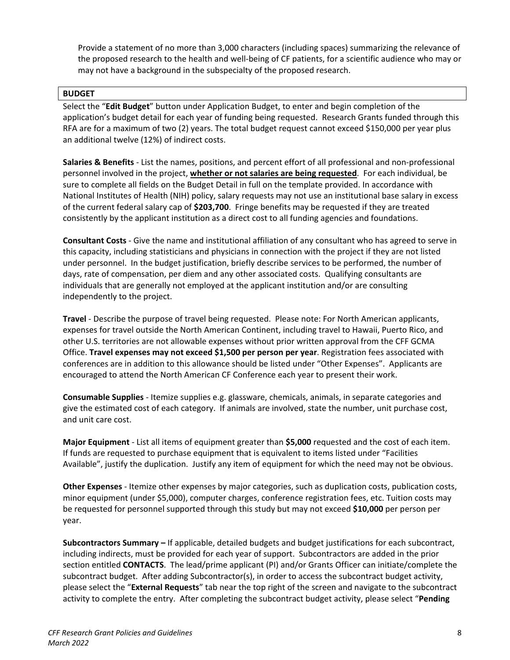Provide a statement of no more than 3,000 characters (including spaces) summarizing the relevance of the proposed research to the health and well-being of CF patients, for a scientific audience who may or may not have a background in the subspecialty of the proposed research.

### **BUDGET**

Select the "**Edit Budget**" button under Application Budget, to enter and begin completion of the application's budget detail for each year of funding being requested. Research Grants funded through this RFA are for a maximum of two (2) years. The total budget request cannot exceed \$150,000 per year plus an additional twelve (12%) of indirect costs.

**Salaries & Benefits** - List the names, positions, and percent effort of all professional and non-professional personnel involved in the project, **whether or not salaries are being requested**. For each individual, be sure to complete all fields on the Budget Detail in full on the template provided. In accordance with National Institutes of Health (NIH) policy, salary requests may not use an institutional base salary in excess of the current federal salary cap of **\$203,700**. Fringe benefits may be requested if they are treated consistently by the applicant institution as a direct cost to all funding agencies and foundations.

**Consultant Costs** - Give the name and institutional affiliation of any consultant who has agreed to serve in this capacity, including statisticians and physicians in connection with the project if they are not listed under personnel. In the budget justification, briefly describe services to be performed, the number of days, rate of compensation, per diem and any other associated costs. Qualifying consultants are individuals that are generally not employed at the applicant institution and/or are consulting independently to the project.

**Travel** - Describe the purpose of travel being requested. Please note: For North American applicants, expenses for travel outside the North American Continent, including travel to Hawaii, Puerto Rico, and other U.S. territories are not allowable expenses without prior written approval from the CFF GCMA Office. **Travel expenses may not exceed \$1,500 per person per year**. Registration fees associated with conferences are in addition to this allowance should be listed under "Other Expenses". Applicants are encouraged to attend the North American CF Conference each year to present their work.

**Consumable Supplies** - Itemize supplies e.g. glassware, chemicals, animals, in separate categories and give the estimated cost of each category. If animals are involved, state the number, unit purchase cost, and unit care cost.

**Major Equipment** - List all items of equipment greater than **\$5,000** requested and the cost of each item. If funds are requested to purchase equipment that is equivalent to items listed under "Facilities Available", justify the duplication. Justify any item of equipment for which the need may not be obvious.

**Other Expenses** - Itemize other expenses by major categories, such as duplication costs, publication costs, minor equipment (under \$5,000), computer charges, conference registration fees, etc. Tuition costs may be requested for personnel supported through this study but may not exceed **\$10,000** per person per year.

**Subcontractors Summary –** If applicable, detailed budgets and budget justifications for each subcontract, including indirects, must be provided for each year of support. Subcontractors are added in the prior section entitled **CONTACTS**. The lead/prime applicant (PI) and/or Grants Officer can initiate/complete the subcontract budget. After adding Subcontractor(s), in order to access the subcontract budget activity, please select the "**External Requests**" tab near the top right of the screen and navigate to the subcontract activity to complete the entry. After completing the subcontract budget activity, please select "**Pending**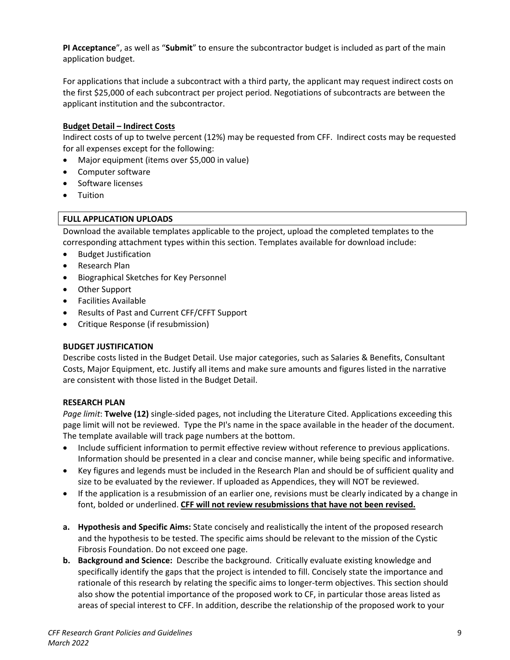**PI Acceptance**", as well as "**Submit**" to ensure the subcontractor budget is included as part of the main application budget.

For applications that include a subcontract with a third party, the applicant may request indirect costs on the first \$25,000 of each subcontract per project period. Negotiations of subcontracts are between the applicant institution and the subcontractor.

## **Budget Detail – Indirect Costs**

Indirect costs of up to twelve percent (12%) may be requested from CFF. Indirect costs may be requested for all expenses except for the following:

- Major equipment (items over \$5,000 in value)
- Computer software
- Software licenses
- Tuition

## **FULL APPLICATION UPLOADS**

Download the available templates applicable to the project, upload the completed templates to the corresponding attachment types within this section. Templates available for download include:

- Budget Justification
- Research Plan
- Biographical Sketches for Key Personnel
- Other Support
- Facilities Available
- Results of Past and Current CFF/CFFT Support
- Critique Response (if resubmission)

### **BUDGET JUSTIFICATION**

Describe costs listed in the Budget Detail. Use major categories, such as Salaries & Benefits, Consultant Costs, Major Equipment, etc. Justify all items and make sure amounts and figures listed in the narrative are consistent with those listed in the Budget Detail.

### **RESEARCH PLAN**

*Page limit*: **Twelve (12)** single-sided pages, not including the Literature Cited. Applications exceeding this page limit will not be reviewed. Type the PI's name in the space available in the header of the document. The template available will track page numbers at the bottom.

- Include sufficient information to permit effective review without reference to previous applications. Information should be presented in a clear and concise manner, while being specific and informative.
- Key figures and legends must be included in the Research Plan and should be of sufficient quality and size to be evaluated by the reviewer. If uploaded as Appendices, they will NOT be reviewed.
- If the application is a resubmission of an earlier one, revisions must be clearly indicated by a change in font, bolded or underlined. **CFF will not review resubmissions that have not been revised.**
- **a. Hypothesis and Specific Aims:** State concisely and realistically the intent of the proposed research and the hypothesis to be tested. The specific aims should be relevant to the mission of the Cystic Fibrosis Foundation. Do not exceed one page.
- **b. Background and Science:** Describe the background. Critically evaluate existing knowledge and specifically identify the gaps that the project is intended to fill. Concisely state the importance and rationale of this research by relating the specific aims to longer-term objectives. This section should also show the potential importance of the proposed work to CF, in particular those areas listed as areas of special interest to CFF. In addition, describe the relationship of the proposed work to your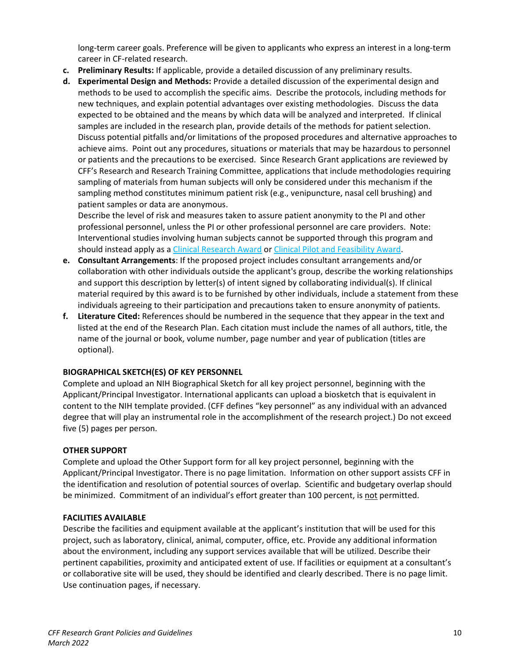long-term career goals. Preference will be given to applicants who express an interest in a long-term career in CF-related research.

- **c. Preliminary Results:** If applicable, provide a detailed discussion of any preliminary results.
- **d. Experimental Design and Methods:** Provide a detailed discussion of the experimental design and methods to be used to accomplish the specific aims. Describe the protocols, including methods for new techniques, and explain potential advantages over existing methodologies. Discuss the data expected to be obtained and the means by which data will be analyzed and interpreted. If clinical samples are included in the research plan, provide details of the methods for patient selection. Discuss potential pitfalls and/or limitations of the proposed procedures and alternative approaches to achieve aims. Point out any procedures, situations or materials that may be hazardous to personnel or patients and the precautions to be exercised. Since Research Grant applications are reviewed by CFF's Research and Research Training Committee, applications that include methodologies requiring sampling of materials from human subjects will only be considered under this mechanism if the sampling method constitutes minimum patient risk (e.g., venipuncture, nasal cell brushing) and patient samples or data are anonymous.

Describe the level of risk and measures taken to assure patient anonymity to the PI and other professional personnel, unless the PI or other professional personnel are care providers. Note: Interventional studies involving human subjects cannot be supported through this program and should instead apply as a Clinical Research Award or Clinical Pilot and Feasibility Award.

- **e. Consultant Arrangements**: If the proposed project includes consultant arrangements and/or collaboration with other individuals outside the applicant's group, describe the working relationships and support this description by letter(s) of intent signed by collaborating individual(s). If clinical material required by this award is to be furnished by other individuals, include a statement from these individuals agreeing to their participation and precautions taken to ensure anonymity of patients.
- **f. Literature Cited:** References should be numbered in the sequence that they appear in the text and listed at the end of the Research Plan. Each citation must include the names of all authors, title, the name of the journal or book, volume number, page number and year of publication (titles are optional).

### **BIOGRAPHICAL SKETCH(ES) OF KEY PERSONNEL**

Complete and upload an NIH Biographical Sketch for all key project personnel, beginning with the Applicant/Principal Investigator. International applicants can upload a biosketch that is equivalent in content to the NIH template provided. (CFF defines "key personnel" as any individual with an advanced degree that will play an instrumental role in the accomplishment of the research project.) Do not exceed five (5) pages per person.

### **OTHER SUPPORT**

Complete and upload the Other Support form for all key project personnel, beginning with the Applicant/Principal Investigator. There is no page limitation. Information on other support assists CFF in the identification and resolution of potential sources of overlap. Scientific and budgetary overlap should be minimized. Commitment of an individual's effort greater than 100 percent, is not permitted.

### **FACILITIES AVAILABLE**

Describe the facilities and equipment available at the applicant's institution that will be used for this project, such as laboratory, clinical, animal, computer, office, etc. Provide any additional information about the environment, including any support services available that will be utilized. Describe their pertinent capabilities, proximity and anticipated extent of use. If facilities or equipment at a consultant's or collaborative site will be used, they should be identified and clearly described. There is no page limit. Use continuation pages, if necessary.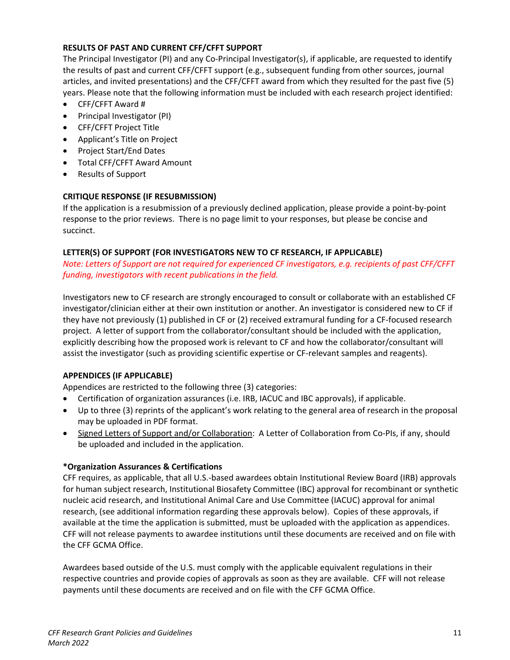## **RESULTS OF PAST AND CURRENT CFF/CFFT SUPPORT**

The Principal Investigator (PI) and any Co-Principal Investigator(s), if applicable, are requested to identify the results of past and current CFF/CFFT support (e.g., subsequent funding from other sources, journal articles, and invited presentations) and the CFF/CFFT award from which they resulted for the past five (5) years. Please note that the following information must be included with each research project identified:

- CFF/CFFT Award #
- Principal Investigator (PI)
- CFF/CFFT Project Title
- Applicant's Title on Project
- Project Start/End Dates
- Total CFF/CFFT Award Amount
- Results of Support

# **CRITIQUE RESPONSE (IF RESUBMISSION)**

If the application is a resubmission of a previously declined application, please provide a point-by-point response to the prior reviews. There is no page limit to your responses, but please be concise and succinct.

## **LETTER(S) OF SUPPORT (FOR INVESTIGATORS NEW TO CF RESEARCH, IF APPLICABLE)**

*Note: Letters of Support are not required for experienced CF investigators, e.g. recipients of past CFF/CFFT funding, investigators with recent publications in the field.*

Investigators new to CF research are strongly encouraged to consult or collaborate with an established CF investigator/clinician either at their own institution or another. An investigator is considered new to CF if they have not previously (1) published in CF or (2) received extramural funding for a CF-focused research project. A letter of support from the collaborator/consultant should be included with the application, explicitly describing how the proposed work is relevant to CF and how the collaborator/consultant will assist the investigator (such as providing scientific expertise or CF-relevant samples and reagents).

# **APPENDICES (IF APPLICABLE)**

Appendices are restricted to the following three (3) categories:

- Certification of organization assurances (i.e. IRB, IACUC and IBC approvals), if applicable.
- Up to three (3) reprints of the applicant's work relating to the general area of research in the proposal may be uploaded in PDF format.
- Signed Letters of Support and/or Collaboration: A Letter of Collaboration from Co-PIs, if any, should be uploaded and included in the application.

### **\*Organization Assurances & Certifications**

CFF requires, as applicable, that all U.S.-based awardees obtain Institutional Review Board (IRB) approvals for human subject research, Institutional Biosafety Committee (IBC) approval for recombinant or synthetic nucleic acid research, and Institutional Animal Care and Use Committee (IACUC) approval for animal research, (see additional information regarding these approvals below). Copies of these approvals, if available at the time the application is submitted, must be uploaded with the application as appendices. CFF will not release payments to awardee institutions until these documents are received and on file with the CFF GCMA Office.

Awardees based outside of the U.S. must comply with the applicable equivalent regulations in their respective countries and provide copies of approvals as soon as they are available. CFF will not release payments until these documents are received and on file with the CFF GCMA Office.